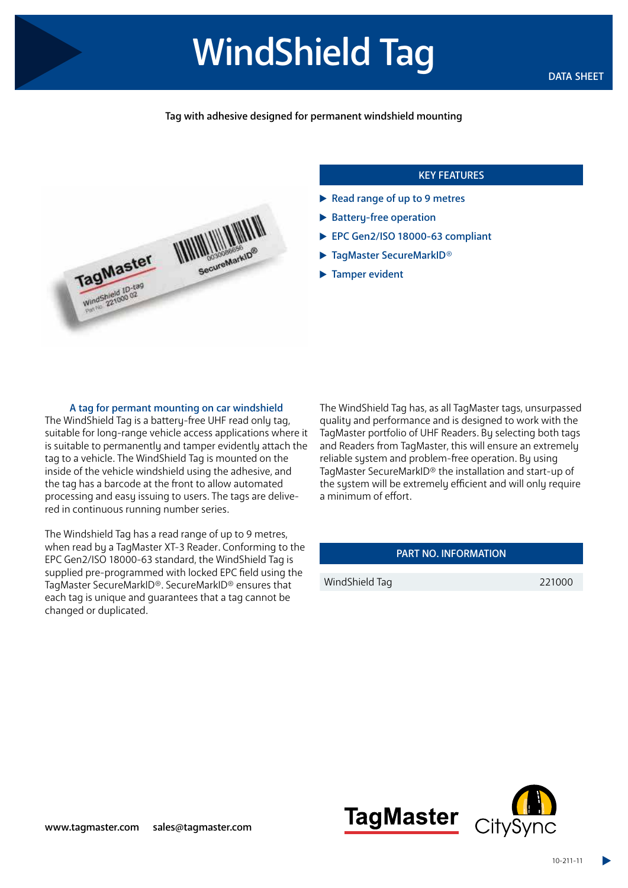# WindShield Tag DATA SHEET

## Tag with adhesive designed for permanent windshield mounting



### KEY FEATURES

- Read range of up to 9 metres
- Battery-free operation
- ▶ EPC Gen2/ISO 18000-63 compliant
- ▶ TagMaster SecureMarkID®
- **Tamper evident**

#### A tag for permant mounting on car windshield

The WindShield Tag is a battery-free UHF read only tag, suitable for long-range vehicle access applications where it is suitable to permanently and tamper evidently attach the tag to a vehicle. The WindShield Tag is mounted on the inside of the vehicle windshield using the adhesive, and the tag has a barcode at the front to allow automated processing and easy issuing to users. The tags are delivered in continuous running number series.

The Windshield Tag has a read range of up to 9 metres, when read by a TagMaster XT-3 Reader. Conforming to the EPC Gen2/ISO 18000-63 standard, the WindShield Tag is supplied pre-programmed with locked EPC field using the TagMaster SecureMarkID®. SecureMarkID® ensures that each tag is unique and guarantees that a tag cannot be changed or duplicated.

The WindShield Tag has, as all TagMaster tags, unsurpassed quality and performance and is designed to work with the TagMaster portfolio of UHF Readers. By selecting both tags and Readers from TagMaster, this will ensure an extremely reliable sustem and problem-free operation. Bu using TagMaster SecureMarkID® the installation and start-up of the system will be extremely efficient and will only require a minimum of effort.